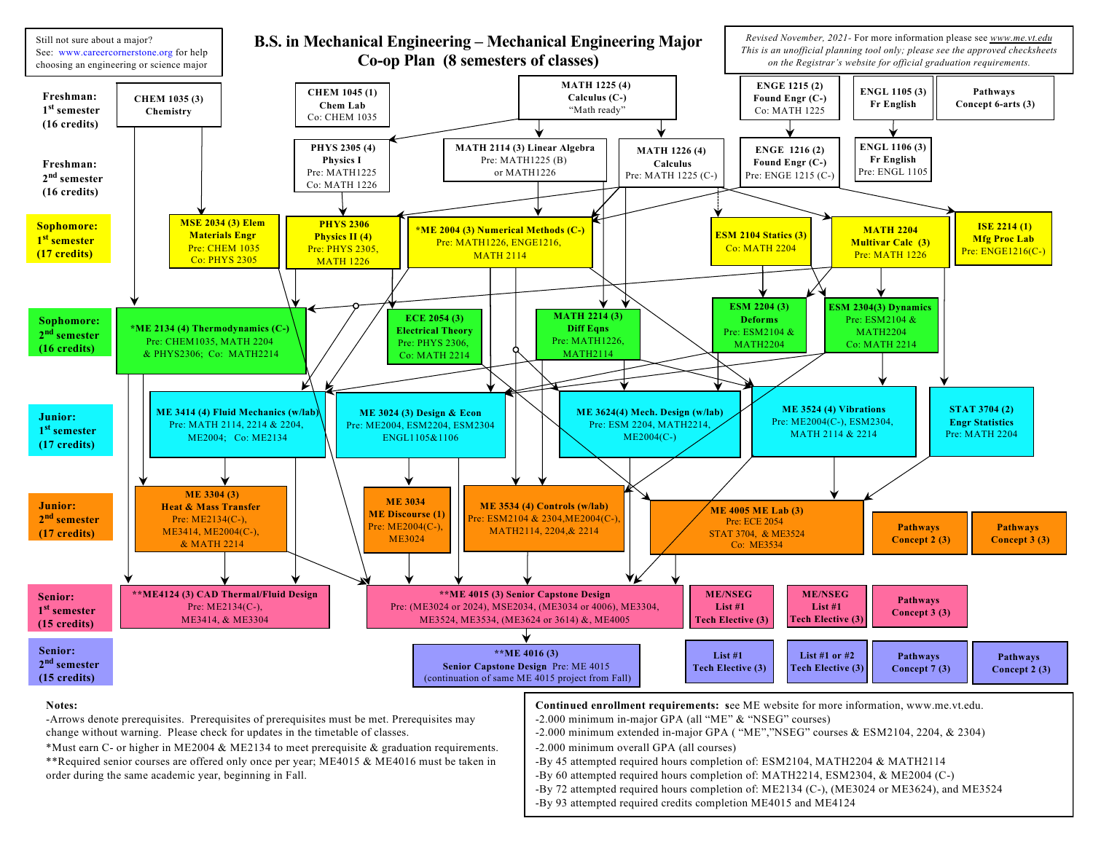

order during the same academic year, beginning in Fall.

- -By 60 attempted required hours completion of: MATH2214, ESM2304, & ME2004 (C-) -By 72 attempted required hours completion of: ME2134 (C-), (ME3024 or ME3624), and ME3524
- -By 93 attempted required credits completion ME4015 and ME4124